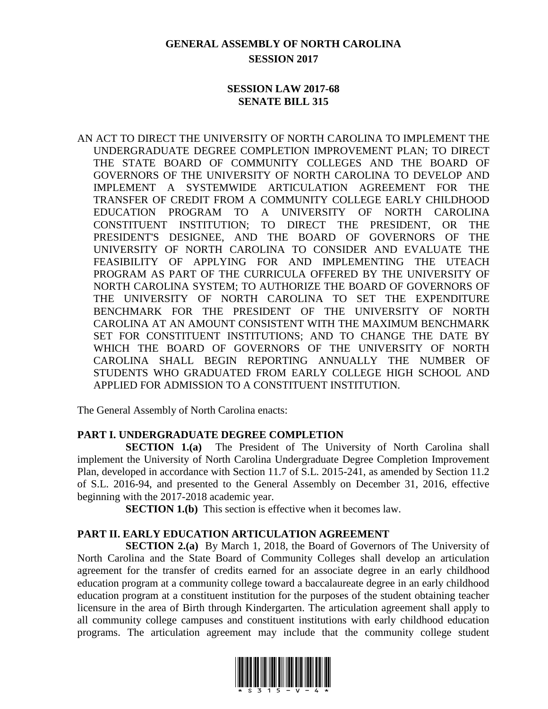## **GENERAL ASSEMBLY OF NORTH CAROLINA SESSION 2017**

### **SESSION LAW 2017-68 SENATE BILL 315**

AN ACT TO DIRECT THE UNIVERSITY OF NORTH CAROLINA TO IMPLEMENT THE UNDERGRADUATE DEGREE COMPLETION IMPROVEMENT PLAN; TO DIRECT THE STATE BOARD OF COMMUNITY COLLEGES AND THE BOARD OF GOVERNORS OF THE UNIVERSITY OF NORTH CAROLINA TO DEVELOP AND IMPLEMENT A SYSTEMWIDE ARTICULATION AGREEMENT FOR THE TRANSFER OF CREDIT FROM A COMMUNITY COLLEGE EARLY CHILDHOOD EDUCATION PROGRAM TO A UNIVERSITY OF NORTH CAROLINA CONSTITUENT INSTITUTION; TO DIRECT THE PRESIDENT, OR THE PRESIDENT'S DESIGNEE, AND THE BOARD OF GOVERNORS OF THE UNIVERSITY OF NORTH CAROLINA TO CONSIDER AND EVALUATE THE FEASIBILITY OF APPLYING FOR AND IMPLEMENTING THE UTEACH PROGRAM AS PART OF THE CURRICULA OFFERED BY THE UNIVERSITY OF NORTH CAROLINA SYSTEM; TO AUTHORIZE THE BOARD OF GOVERNORS OF THE UNIVERSITY OF NORTH CAROLINA TO SET THE EXPENDITURE BENCHMARK FOR THE PRESIDENT OF THE UNIVERSITY OF NORTH CAROLINA AT AN AMOUNT CONSISTENT WITH THE MAXIMUM BENCHMARK SET FOR CONSTITUENT INSTITUTIONS; AND TO CHANGE THE DATE BY WHICH THE BOARD OF GOVERNORS OF THE UNIVERSITY OF NORTH CAROLINA SHALL BEGIN REPORTING ANNUALLY THE NUMBER OF STUDENTS WHO GRADUATED FROM EARLY COLLEGE HIGH SCHOOL AND APPLIED FOR ADMISSION TO A CONSTITUENT INSTITUTION.

The General Assembly of North Carolina enacts:

## **PART I. UNDERGRADUATE DEGREE COMPLETION**

**SECTION 1.(a)** The President of The University of North Carolina shall implement the University of North Carolina Undergraduate Degree Completion Improvement Plan, developed in accordance with Section 11.7 of S.L. 2015-241, as amended by Section 11.2 of S.L. 2016-94, and presented to the General Assembly on December 31, 2016, effective beginning with the 2017-2018 academic year.

**SECTION 1.(b)** This section is effective when it becomes law.

#### **PART II. EARLY EDUCATION ARTICULATION AGREEMENT**

**SECTION 2.(a)** By March 1, 2018, the Board of Governors of The University of North Carolina and the State Board of Community Colleges shall develop an articulation agreement for the transfer of credits earned for an associate degree in an early childhood education program at a community college toward a baccalaureate degree in an early childhood education program at a constituent institution for the purposes of the student obtaining teacher licensure in the area of Birth through Kindergarten. The articulation agreement shall apply to all community college campuses and constituent institutions with early childhood education programs. The articulation agreement may include that the community college student

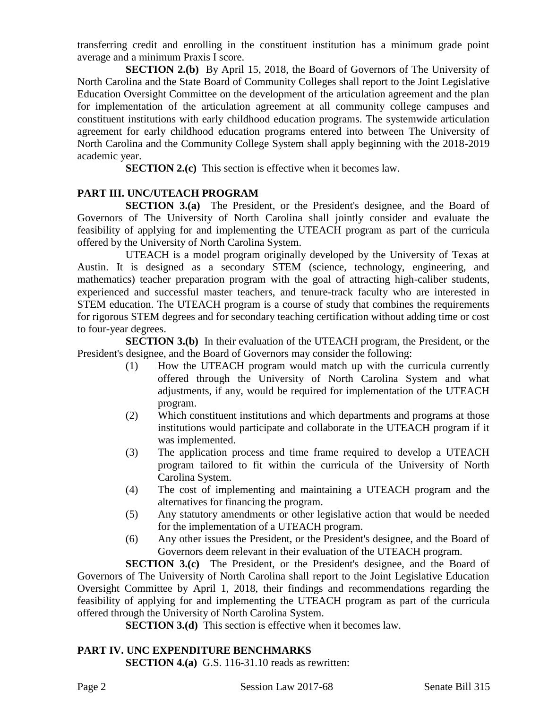transferring credit and enrolling in the constituent institution has a minimum grade point average and a minimum Praxis I score.

**SECTION 2.(b)** By April 15, 2018, the Board of Governors of The University of North Carolina and the State Board of Community Colleges shall report to the Joint Legislative Education Oversight Committee on the development of the articulation agreement and the plan for implementation of the articulation agreement at all community college campuses and constituent institutions with early childhood education programs. The systemwide articulation agreement for early childhood education programs entered into between The University of North Carolina and the Community College System shall apply beginning with the 2018-2019 academic year.

**SECTION 2.(c)** This section is effective when it becomes law.

## **PART III. UNC/UTEACH PROGRAM**

**SECTION 3.(a)** The President, or the President's designee, and the Board of Governors of The University of North Carolina shall jointly consider and evaluate the feasibility of applying for and implementing the UTEACH program as part of the curricula offered by the University of North Carolina System.

UTEACH is a model program originally developed by the University of Texas at Austin. It is designed as a secondary STEM (science, technology, engineering, and mathematics) teacher preparation program with the goal of attracting high-caliber students, experienced and successful master teachers, and tenure-track faculty who are interested in STEM education. The UTEACH program is a course of study that combines the requirements for rigorous STEM degrees and for secondary teaching certification without adding time or cost to four-year degrees.

**SECTION 3.(b)** In their evaluation of the UTEACH program, the President, or the President's designee, and the Board of Governors may consider the following:

- (1) How the UTEACH program would match up with the curricula currently offered through the University of North Carolina System and what adjustments, if any, would be required for implementation of the UTEACH program.
- (2) Which constituent institutions and which departments and programs at those institutions would participate and collaborate in the UTEACH program if it was implemented.
- (3) The application process and time frame required to develop a UTEACH program tailored to fit within the curricula of the University of North Carolina System.
- (4) The cost of implementing and maintaining a UTEACH program and the alternatives for financing the program.
- (5) Any statutory amendments or other legislative action that would be needed for the implementation of a UTEACH program.
- (6) Any other issues the President, or the President's designee, and the Board of Governors deem relevant in their evaluation of the UTEACH program.

**SECTION 3.(c)** The President, or the President's designee, and the Board of Governors of The University of North Carolina shall report to the Joint Legislative Education Oversight Committee by April 1, 2018, their findings and recommendations regarding the feasibility of applying for and implementing the UTEACH program as part of the curricula offered through the University of North Carolina System.

**SECTION 3.(d)** This section is effective when it becomes law.

# **PART IV. UNC EXPENDITURE BENCHMARKS**

**SECTION 4.(a)** G.S. 116-31.10 reads as rewritten: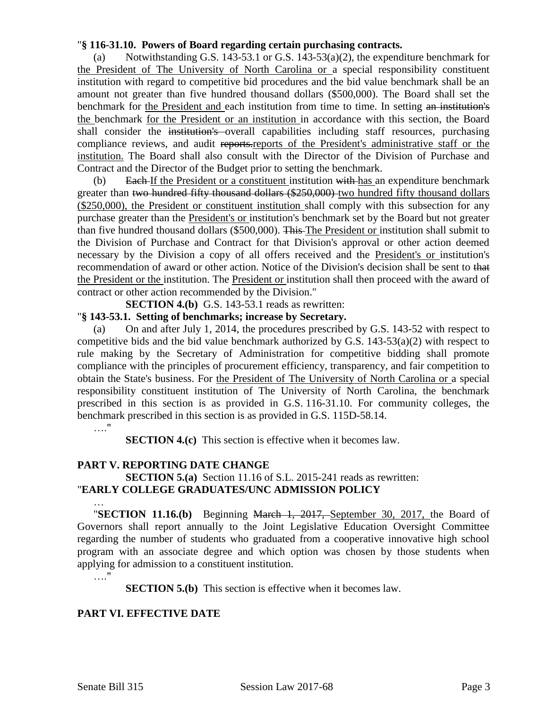#### "**§ 116-31.10. Powers of Board regarding certain purchasing contracts.**

(a) Notwithstanding G.S. 143-53.1 or G.S. 143-53(a)(2), the expenditure benchmark for the President of The University of North Carolina or a special responsibility constituent institution with regard to competitive bid procedures and the bid value benchmark shall be an amount not greater than five hundred thousand dollars (\$500,000). The Board shall set the benchmark for the President and each institution from time to time. In setting an institution's the benchmark for the President or an institution in accordance with this section, the Board shall consider the institution's overall capabilities including staff resources, purchasing compliance reviews, and audit reports.reports of the President's administrative staff or the institution. The Board shall also consult with the Director of the Division of Purchase and Contract and the Director of the Budget prior to setting the benchmark.

(b) Each If the President or a constituent institution with has an expenditure benchmark greater than two hundred fifty thousand dollars (\$250,000) two hundred fifty thousand dollars (\$250,000), the President or constituent institution shall comply with this subsection for any purchase greater than the President's or institution's benchmark set by the Board but not greater than five hundred thousand dollars (\$500,000). This The President or institution shall submit to the Division of Purchase and Contract for that Division's approval or other action deemed necessary by the Division a copy of all offers received and the President's or institution's recommendation of award or other action. Notice of the Division's decision shall be sent to that the President or the institution. The President or institution shall then proceed with the award of contract or other action recommended by the Division."

**SECTION 4.(b)** G.S. 143-53.1 reads as rewritten:

#### "**§ 143-53.1. Setting of benchmarks; increase by Secretary.**

(a) On and after July 1, 2014, the procedures prescribed by G.S. 143-52 with respect to competitive bids and the bid value benchmark authorized by G.S.  $143-53(a)(2)$  with respect to rule making by the Secretary of Administration for competitive bidding shall promote compliance with the principles of procurement efficiency, transparency, and fair competition to obtain the State's business. For the President of The University of North Carolina or a special responsibility constituent institution of The University of North Carolina, the benchmark prescribed in this section is as provided in G.S. 116-31.10. For community colleges, the benchmark prescribed in this section is as provided in G.S. 115D-58.14.

#### …"

**SECTION 4.(c)** This section is effective when it becomes law.

#### **PART V. REPORTING DATE CHANGE**

#### **SECTION 5.(a)** Section 11.16 of S.L. 2015-241 reads as rewritten: "**EARLY COLLEGE GRADUATES/UNC ADMISSION POLICY**

… "**SECTION 11.16.(b)** Beginning March 1, 2017, September 30, 2017, the Board of Governors shall report annually to the Joint Legislative Education Oversight Committee regarding the number of students who graduated from a cooperative innovative high school program with an associate degree and which option was chosen by those students when applying for admission to a constituent institution.

#### …."

**SECTION 5.(b)** This section is effective when it becomes law.

#### **PART VI. EFFECTIVE DATE**